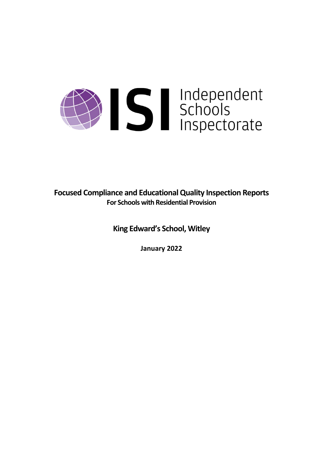# Sandependent<br>Schools<br>Inspectorate

**Focused Compliance and EducationalQuality Inspection Reports For Schools with Residential Provision**

**King Edward's School, Witley**

**January 2022**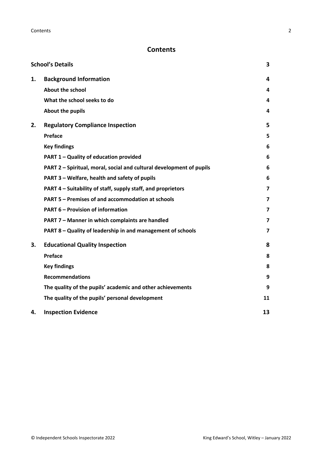# **Contents**

|    | <b>School's Details</b>                                              | 3  |
|----|----------------------------------------------------------------------|----|
| 1. | <b>Background Information</b>                                        | 4  |
|    | <b>About the school</b>                                              | 4  |
|    | What the school seeks to do                                          | 4  |
|    | About the pupils                                                     | 4  |
| 2. | <b>Regulatory Compliance Inspection</b>                              | 5  |
|    | Preface                                                              | 5  |
|    | <b>Key findings</b>                                                  | 6  |
|    | PART 1 - Quality of education provided                               | 6  |
|    | PART 2 - Spiritual, moral, social and cultural development of pupils | 6  |
|    | PART 3 - Welfare, health and safety of pupils                        | 6  |
|    | PART 4 – Suitability of staff, supply staff, and proprietors         | 7  |
|    | PART 5 - Premises of and accommodation at schools                    | 7  |
|    | <b>PART 6 - Provision of information</b>                             | 7  |
|    | PART 7 - Manner in which complaints are handled                      | 7  |
|    | PART 8 - Quality of leadership in and management of schools          | 7  |
| 3. | <b>Educational Quality Inspection</b>                                | 8  |
|    | Preface                                                              | 8  |
|    | <b>Key findings</b>                                                  | 8  |
|    | <b>Recommendations</b>                                               | 9  |
|    | The quality of the pupils' academic and other achievements           | 9  |
|    | The quality of the pupils' personal development                      | 11 |
| 4. | <b>Inspection Evidence</b>                                           | 13 |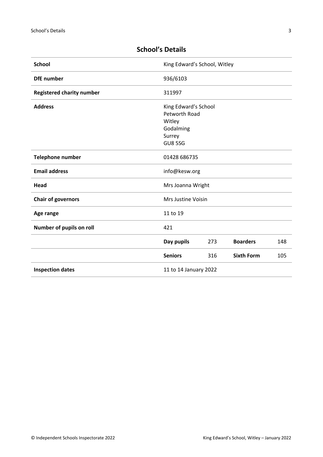| 936/6103                                                         |     |                                               |                              |
|------------------------------------------------------------------|-----|-----------------------------------------------|------------------------------|
| 311997                                                           |     |                                               |                              |
| Petworth Road<br>Witley<br>Godalming<br>Surrey<br><b>GU8 5SG</b> |     |                                               |                              |
| 01428 686735                                                     |     |                                               |                              |
| info@kesw.org                                                    |     |                                               |                              |
| Mrs Joanna Wright                                                |     |                                               |                              |
| Mrs Justine Voisin                                               |     |                                               |                              |
| 11 to 19                                                         |     |                                               |                              |
| 421                                                              |     |                                               |                              |
| Day pupils                                                       | 273 | <b>Boarders</b>                               | 148                          |
| <b>Seniors</b>                                                   | 316 | <b>Sixth Form</b>                             | 105                          |
|                                                                  |     |                                               |                              |
|                                                                  |     | King Edward's School<br>11 to 14 January 2022 | King Edward's School, Witley |

# <span id="page-2-0"></span>**School's Details**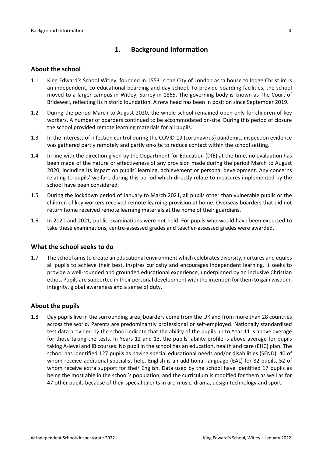## <span id="page-3-0"></span>**1. Background Information**

#### <span id="page-3-1"></span>**About the school**

- 1.1 King Edward's School Witley, founded in 1553 in the City of London as 'a house to lodge Christ in' is an independent, co-educational boarding and day school. To provide boarding facilities, the school moved to a larger campus in Witley, Surrey in 1865. The governing body is known as The Court of Bridewell, reflecting its historic foundation. A new head has been in position since September 2019.
- 1.2 During the period March to August 2020, the whole school remained open only for children of key workers. A number of boarders continued to be accommodated on-site. During this period of closure the school provided remote learning materials for all pupils.
- 1.3 In the interests of infection control during the COVID-19 (coronavirus) pandemic, inspection evidence was gathered partly remotely and partly on-site to reduce contact within the school setting.
- 1.4 In line with the direction given by the Department for Education (DfE) at the time, no evaluation has been made of the nature or effectiveness of any provision made during the period March to August 2020, including its impact on pupils' learning, achievement or personal development. Any concerns relating to pupils' welfare during this period which directly relate to measures implemented by the school have been considered.
- 1.5 During the lockdown period of January to March 2021, all pupils other than vulnerable pupils or the children of key workers received remote learning provision at home. Overseas boarders that did not return home received remote learning materials at the home of their guardians.
- 1.6 In 2020 and 2021, public examinations were not held. For pupils who would have been expected to take these examinations, centre-assessed grades and teacher-assessed grades were awarded.

#### <span id="page-3-2"></span>**What the school seeks to do**

1.7 The school aimsto create an educational environment which celebrates diversity, nurtures and equips all pupils to achieve their best, inspires curiosity and encourages independent learning. It seeks to provide a well-rounded and grounded educational experience, underpinned by an inclusive Christian ethos. Pupils are supported in their personal development with the intention for them to gain wisdom, integrity, global awareness and a sense of duty.

#### <span id="page-3-3"></span>**About the pupils**

1.8 Day pupils live in the surrounding area; boarders come from the UK and from more than 28 countries across the world. Parents are predominantly professional or self-employed. Nationally standardised test data provided by the school indicate that the ability of the pupils up to Year 11 is above average for those taking the tests. In Years 12 and 13, the pupils' ability profile is above average for pupils taking A-level and IB courses. No pupil in the school has an education, health and care (EHC) plan. The school has identified 127 pupils as having special educational needs and/or disabilities (SEND), 40 of whom receive additional specialist help. English is an additional language (EAL) for 82 pupils, 52 of whom receive extra support for their English. Data used by the school have identified 17 pupils as being the most able in the school's population, and the curriculum is modified for them as well as for 47 other pupils because of their special talents in art, music, drama, design technology and sport.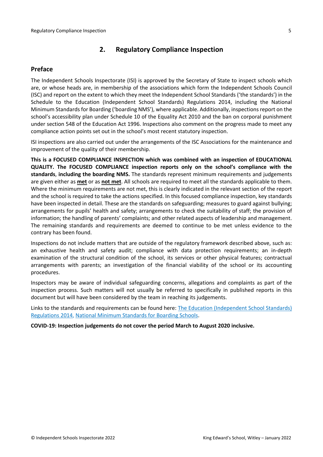## <span id="page-4-0"></span>**2. Regulatory Compliance Inspection**

## <span id="page-4-1"></span>**Preface**

The Independent Schools Inspectorate (ISI) is approved by the Secretary of State to inspect schools which are, or whose heads are, in membership of the associations which form the Independent Schools Council (ISC) and report on the extent to which they meet the Independent School Standards ('the standards') in the Schedule to the Education (Independent School Standards) Regulations 2014, including the National Minimum Standards for Boarding ('boarding NMS'), where applicable. Additionally, inspections report on the school's accessibility plan under Schedule 10 of the Equality Act 2010 and the ban on corporal punishment under section 548 of the Education Act 1996. Inspections also comment on the progress made to meet any compliance action points set out in the school's most recent statutory inspection.

ISI inspections are also carried out under the arrangements of the ISC Associations for the maintenance and improvement of the quality of their membership.

**This is a FOCUSED COMPLIANCE INSPECTION which was combined with an inspection of EDUCATIONAL QUALITY. The FOCUSED COMPLIANCE inspection reports only on the school's compliance with the standards**, **including the boarding NMS.** The standards represent minimum requirements and judgements are given either as **met** or as **not met**. All schools are required to meet all the standards applicable to them. Where the minimum requirements are not met, this is clearly indicated in the relevant section of the report and the school is required to take the actions specified. In this focused compliance inspection, key standards have been inspected in detail. These are the standards on safeguarding; measures to guard against bullying; arrangements for pupils' health and safety; arrangements to check the suitability of staff; the provision of information; the handling of parents' complaints; and other related aspects of leadership and management. The remaining standards and requirements are deemed to continue to be met unless evidence to the contrary has been found.

Inspections do not include matters that are outside of the regulatory framework described above, such as: an exhaustive health and safety audit; compliance with data protection requirements; an in-depth examination of the structural condition of the school, its services or other physical features; contractual arrangements with parents; an investigation of the financial viability of the school or its accounting procedures.

Inspectors may be aware of individual safeguarding concerns, allegations and complaints as part of the inspection process. Such matters will not usually be referred to specifically in published reports in this document but will have been considered by the team in reaching its judgements.

Links to the standards and requirements can be found here: The Education (Independent School Standards) Regulations 2014, National Minimum Standards for Boarding Schools.

**COVID-19: Inspection judgements do not cover the period March to August 2020 inclusive.**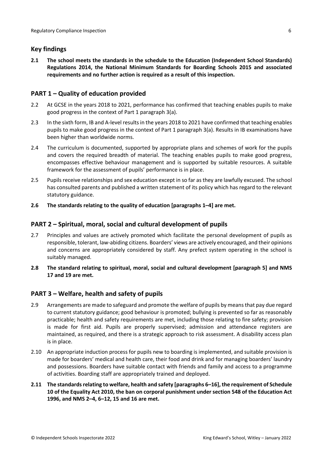## <span id="page-5-0"></span>**Key findings**

**2.1 The school meets the standards in the schedule to the Education (Independent School Standards) Regulations 2014, the National Minimum Standards for Boarding Schools 2015 and associated requirements and no further action is required as a result of this inspection.**

## <span id="page-5-1"></span>**PART 1 – Quality of education provided**

- 2.2 At GCSE in the years 2018 to 2021, performance has confirmed that teaching enables pupils to make good progress in the context of Part 1 paragraph 3(a).
- 2.3 In the sixth form, IB and A-level resultsin the years 2018 to 2021 have confirmed that teaching enables pupils to make good progress in the context of Part 1 paragraph 3(a). Results in IB examinations have been higher than worldwide norms.
- 2.4 The curriculum is documented, supported by appropriate plans and schemes of work for the pupils and covers the required breadth of material. The teaching enables pupils to make good progress, encompasses effective behaviour management and is supported by suitable resources. A suitable framework for the assessment of pupils' performance is in place.
- 2.5 Pupils receive relationships and sex education except in so far as they are lawfully excused. The school has consulted parents and published a written statement of its policy which has regard to the relevant statutory guidance.
- **2.6 The standards relating to the quality of education [paragraphs 1–4] are met.**

## <span id="page-5-2"></span>**PART 2 – Spiritual, moral, social and cultural development of pupils**

- 2.7 Principles and values are actively promoted which facilitate the personal development of pupils as responsible, tolerant, law-abiding citizens. Boarders' views are actively encouraged, and their opinions and concerns are appropriately considered by staff. Any prefect system operating in the school is suitably managed.
- **2.8 The standard relating to spiritual, moral, social and cultural development [paragraph 5] and NMS 17 and 19 are met.**

## <span id="page-5-3"></span>**PART 3 – Welfare, health and safety of pupils**

- 2.9 Arrangements are made to safeguard and promote the welfare of pupils by means that pay due regard to current statutory guidance; good behaviour is promoted; bullying is prevented so far as reasonably practicable; health and safety requirements are met, including those relating to fire safety; provision is made for first aid. Pupils are properly supervised; admission and attendance registers are maintained, as required, and there is a strategic approach to risk assessment. A disability access plan is in place.
- 2.10 An appropriate induction process for pupils new to boarding is implemented, and suitable provision is made for boarders' medical and health care, their food and drink and for managing boarders' laundry and possessions. Boarders have suitable contact with friends and family and access to a programme of activities. Boarding staff are appropriately trained and deployed.
- **2.11 The standardsrelating to welfare, health and safety [paragraphs 6–16], the requirement of Schedule 10 of the Equality Act 2010, the ban on corporal punishment under section 548 of the Education Act 1996, and NMS 2–4, 6–12, 15 and 16 are met.**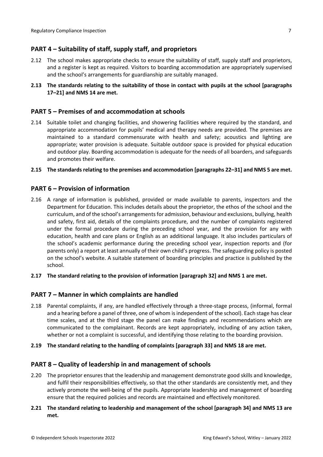## <span id="page-6-0"></span>**PART 4 – Suitability of staff, supply staff, and proprietors**

- 2.12 The school makes appropriate checks to ensure the suitability of staff, supply staff and proprietors, and a register is kept as required. Visitors to boarding accommodation are appropriately supervised and the school's arrangements for guardianship are suitably managed.
- **2.13 The standards relating to the suitability of those in contact with pupils at the school [paragraphs 17–21] and NMS 14 are met.**

#### <span id="page-6-1"></span>**PART 5 – Premises of and accommodation at schools**

2.14 Suitable toilet and changing facilities, and showering facilities where required by the standard, and appropriate accommodation for pupils' medical and therapy needs are provided. The premises are maintained to a standard commensurate with health and safety; acoustics and lighting are appropriate; water provision is adequate. Suitable outdoor space is provided for physical education and outdoor play. Boarding accommodation is adequate for the needs of all boarders, and safeguards and promotes their welfare.

#### **2.15 The standardsrelating to the premises and accommodation [paragraphs 22–31] and NMS 5 are met.**

#### <span id="page-6-2"></span>**PART 6 – Provision of information**

- 2.16 A range of information is published, provided or made available to parents, inspectors and the Department for Education. This includes details about the proprietor, the ethos of the school and the curriculum, and of the school's arrangementsfor admission, behaviour and exclusions, bullying, health and safety, first aid, details of the complaints procedure, and the number of complaints registered under the formal procedure during the preceding school year, and the provision for any with education, health and care plans or English as an additional language. It also includes particulars of the school's academic performance during the preceding school year, inspection reports and (for parents only) a report at least annually of their own child's progress. The safeguarding policy is posted on the school's website. A suitable statement of boarding principles and practice is published by the school.
- **2.17 The standard relating to the provision of information [paragraph 32] and NMS 1 are met.**

#### <span id="page-6-3"></span>**PART 7 – Manner in which complaints are handled**

- 2.18 Parental complaints, if any, are handled effectively through a three-stage process, (informal, formal and a hearing before a panel of three, one of whom isindependent of the school). Each stage has clear time scales, and at the third stage the panel can make findings and recommendations which are communicated to the complainant. Records are kept appropriately, including of any action taken, whether or not a complaint is successful, and identifying those relating to the boarding provision.
- **2.19 The standard relating to the handling of complaints [paragraph 33] and NMS 18 are met.**

#### <span id="page-6-4"></span>**PART 8 – Quality of leadership in and management of schools**

- 2.20 The proprietor ensures that the leadership and management demonstrate good skills and knowledge, and fulfil their responsibilities effectively, so that the other standards are consistently met, and they actively promote the well-being of the pupils. Appropriate leadership and management of boarding ensure that the required policies and records are maintained and effectively monitored.
- **2.21 The standard relating to leadership and management of the school [paragraph 34] and NMS 13 are met.**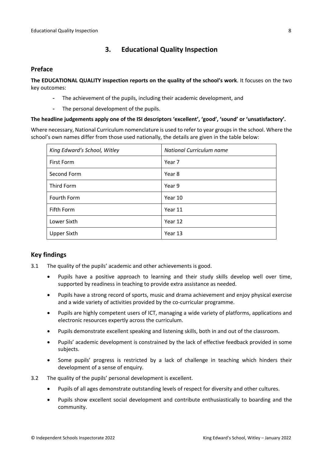## <span id="page-7-0"></span>**3. Educational Quality Inspection**

#### <span id="page-7-1"></span>**Preface**

**The EDUCATIONAL QUALITY inspection reports on the quality of the school's work**. It focuses on the two key outcomes:

- The achievement of the pupils, including their academic development, and
- The personal development of the pupils.

#### **The headline judgements apply one of the ISI descriptors 'excellent', 'good', 'sound' or 'unsatisfactory'.**

Where necessary, National Curriculum nomenclature is used to refer to year groups in the school. Where the school's own names differ from those used nationally, the details are given in the table below:

| King Edward's School, Witley | National Curriculum name |  |
|------------------------------|--------------------------|--|
| <b>First Form</b>            | Year 7                   |  |
| Second Form                  | Year 8                   |  |
| Third Form                   | Year 9                   |  |
| Fourth Form                  | Year 10                  |  |
| Fifth Form                   | Year 11                  |  |
| Lower Sixth                  | Year 12                  |  |
| <b>Upper Sixth</b>           | Year 13                  |  |

## <span id="page-7-2"></span>**Key findings**

- 3.1 The quality of the pupils' academic and other achievements is good.
	- Pupils have a positive approach to learning and their study skills develop well over time, supported by readiness in teaching to provide extra assistance as needed.
	- Pupils have a strong record of sports, music and drama achievement and enjoy physical exercise and a wide variety of activities provided by the co-curricular programme.
	- Pupils are highly competent users of ICT, managing a wide variety of platforms, applications and electronic resources expertly across the curriculum.
	- Pupils demonstrate excellent speaking and listening skills, both in and out of the classroom.
	- Pupils' academic development is constrained by the lack of effective feedback provided in some subjects.
	- Some pupils' progress is restricted by a lack of challenge in teaching which hinders their development of a sense of enquiry.
- 3.2 The quality of the pupils' personal development is excellent.
	- Pupils of all ages demonstrate outstanding levels of respect for diversity and other cultures.
	- Pupils show excellent social development and contribute enthusiastically to boarding and the community.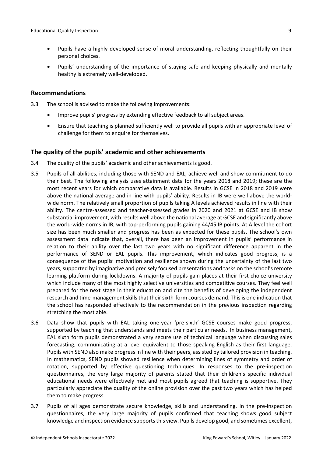- Pupils have a highly developed sense of moral understanding, reflecting thoughtfully on their personal choices.
- Pupils' understanding of the importance of staying safe and keeping physically and mentally healthy is extremely well-developed.

#### <span id="page-8-0"></span>**Recommendations**

- 3.3 The school is advised to make the following improvements:
	- Improve pupils' progress by extending effective feedback to all subject areas.
	- Ensure that teaching is planned sufficiently well to provide all pupils with an appropriate level of challenge for them to enquire for themselves.

#### <span id="page-8-1"></span>**The quality of the pupils' academic and other achievements**

- 3.4 The quality of the pupils' academic and other achievements is good.
- 3.5 Pupils of all abilities, including those with SEND and EAL, achieve well and show commitment to do their best. The following analysis uses attainment data for the years 2018 and 2019; these are the most recent years for which comparative data is available. Results in GCSE in 2018 and 2019 were above the national average and in line with pupils' ability. Results in IB were well above the worldwide norm. The relatively small proportion of pupils taking A levels achieved results in line with their ability. The centre-assessed and teacher-assessed grades in 2020 and 2021 at GCSE and IB show substantial improvement, with results well above the national average at GCSE and significantly above the world-wide norms in IB, with top-performing pupils gaining 44/45 IB points. At A level the cohort size has been much smaller and progress has been as expected for these pupils. The school's own assessment data indicate that, overall, there has been an improvement in pupils' performance in relation to their ability over the last two years with no significant difference apparent in the performance of SEND or EAL pupils. This improvement, which indicates good progress, is a consequence of the pupils' motivation and resilience shown during the uncertainty of the last two years, supported by imaginative and precisely focused presentations and tasks on the school's remote learning platform during lockdowns. A majority of pupils gain places at their first-choice university which include many of the most highly selective universities and competitive courses. They feel well prepared for the next stage in their education and cite the benefits of developing the independent research and time-management skills that their sixth-form courses demand. This is one indication that the school has responded effectively to the recommendation in the previous inspection regarding stretching the most able.
- 3.6 Data show that pupils with EAL taking one-year 'pre-sixth' GCSE courses make good progress, supported by teaching that understands and meets their particular needs. In business management, EAL sixth form pupils demonstrated a very secure use of technical language when discussing sales forecasting, communicating at a level equivalent to those speaking English as their first language. Pupils with SEND also make progress in line with their peers, assisted by tailored provision in teaching. In mathematics, SEND pupils showed resilience when determining lines of symmetry and order of rotation, supported by effective questioning techniques. In responses to the pre-inspection questionnaires, the very large majority of parents stated that their children's specific individual educational needs were effectively met and most pupils agreed that teaching is supportive. They particularly appreciate the quality of the online provision over the past two years which has helped them to make progress.
- 3.7 Pupils of all ages demonstrate secure knowledge, skills and understanding. In the pre-inspection questionnaires, the very large majority of pupils confirmed that teaching shows good subject knowledge and inspection evidence supportsthis view. Pupils develop good, and sometimes excellent,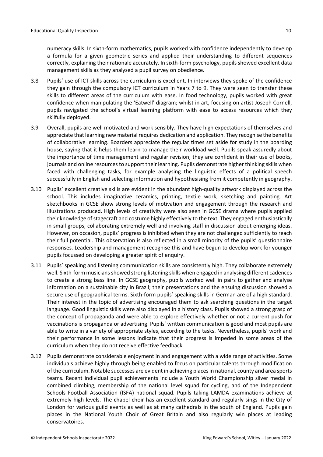numeracy skills. In sixth-form mathematics, pupils worked with confidence independently to develop a formula for a given geometric series and applied their understanding to different sequences correctly, explaining their rationale accurately. In sixth-form psychology, pupils showed excellent data management skills as they analysed a pupil survey on obedience.

- 3.8 Pupils' use of ICT skills across the curriculum is excellent. In interviews they spoke of the confidence they gain through the compulsory ICT curriculum in Years 7 to 9. They were seen to transfer these skills to different areas of the curriculum with ease. In food technology, pupils worked with great confidence when manipulating the 'Eatwell' diagram; whilst in art, focusing on artist Joseph Cornell, pupils navigated the school's virtual learning platform with ease to access resources which they skilfully deployed.
- 3.9 Overall, pupils are well motivated and work sensibly. They have high expectations of themselves and appreciate that learning new material requires dedication and application. They recognise the benefits of collaborative learning. Boarders appreciate the regular times set aside for study in the boarding house, saying that it helps them learn to manage their workload well. Pupils speak assuredly about the importance of time management and regular revision; they are confident in their use of books, journals and online resourcesto support their learning. Pupils demonstrate higher thinking skills when faced with challenging tasks, for example analysing the linguistic effects of a political speech successfully in English and selecting information and hypothesising from it competently in geography.
- 3.10 Pupils' excellent creative skills are evident in the abundant high-quality artwork displayed across the school. This includes imaginative ceramics, printing, textile work, sketching and painting. Art sketchbooks in GCSE show strong levels of motivation and engagement through the research and illustrations produced. High levels of creativity were also seen in GCSE drama where pupils applied their knowledge of stagecraft and costume highly effectively to the text. They engaged enthusiastically in small groups, collaborating extremely well and involving staff in discussion about emerging ideas. However, on occasion, pupils' progress is inhibited when they are not challenged sufficiently to reach their full potential. This observation is also reflected in a small minority of the pupils' questionnaire responses. Leadership and management recognise this and have begun to develop work for younger pupils focussed on developing a greater spirit of enquiry.
- 3.11 Pupils' speaking and listening communication skills are consistently high. They collaborate extremely well. Sixth-form musicians showed strong listening skills when engaged in analysing different cadences to create a strong bass line. In GCSE geography, pupils worked well in pairs to gather and analyse information on a sustainable city in Brazil; their presentations and the ensuing discussion showed a secure use of geographical terms. Sixth-form pupils' speaking skills in German are of a high standard. Their interest in the topic of advertising encouraged them to ask searching questions in the target language. Good linguistic skills were also displayed in a history class. Pupils showed a strong grasp of the concept of propaganda and were able to explore effectively whether or not a current push for vaccinations is propaganda or advertising. Pupils' written communication is good and most pupils are able to write in a variety of appropriate styles, according to the tasks. Nevertheless, pupils' work and their performance in some lessons indicate that their progress is impeded in some areas of the curriculum when they do not receive effective feedback.
- 3.12 Pupils demonstrate considerable enjoyment in and engagement with a wide range of activities. Some individuals achieve highly through being enabled to focus on particular talents through modification of the curriculum. Notable successes are evident in achieving placesin national, county and area sports teams. Recent individual pupil achievements include a Youth World Championship silver medal in combined climbing, membership of the national level squad for cycling, and of the Independent Schools Football Association (ISFA) national squad. Pupils taking LAMDA examinations achieve at extremely high levels. The chapel choir has an excellent standard and regularly sings in the City of London for various guild events as well as at many cathedrals in the south of England. Pupils gain places in the National Youth Choir of Great Britain and also regularly win places at leading conservatoires.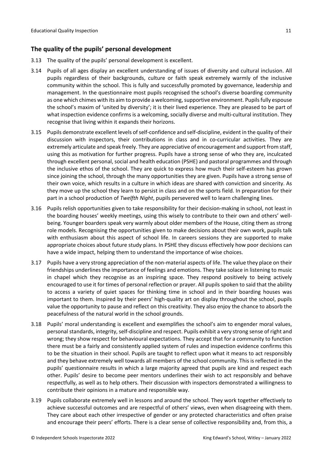## <span id="page-10-0"></span>**The quality of the pupils' personal development**

- 3.13 The quality of the pupils' personal development is excellent.
- 3.14 Pupils of all ages display an excellent understanding of issues of diversity and cultural inclusion. All pupils regardless of their backgrounds, culture or faith speak extremely warmly of the inclusive community within the school. This is fully and successfully promoted by governance, leadership and management. In the questionnaire most pupils recognised the school's diverse boarding community as one which chimes with its aim to provide a welcoming, supportive environment. Pupils fully espouse the school's maxim of 'united by diversity'; it is their lived experience. They are pleased to be part of what inspection evidence confirms is a welcoming, socially diverse and multi-cultural institution. They recognise that living within it expands their horizons.
- 3.15 Pupils demonstrate excellent levels ofself-confidence and self-discipline, evident in the quality of their discussion with inspectors, their contributions in class and in co-curricular activities. They are extremely articulate and speak freely. They are appreciative of encouragement and support from staff, using this as motivation for further progress. Pupils have a strong sense of who they are, inculcated through excellent personal, social and health education (PSHE) and pastoral programmes and through the inclusive ethos of the school. They are quick to express how much their self-esteem has grown since joining the school, through the many opportunities they are given. Pupils have a strong sense of their own voice, which results in a culture in which ideas are shared with conviction and sincerity. As they move up the school they learn to persist in class and on the sports field. In preparation for their part in a school production of *Twelfth Night*, pupils persevered well to learn challenging lines.
- 3.16 Pupils relish opportunities given to take responsibility for their decision-making in school, not least in the boarding houses' weekly meetings, using this wisely to contribute to their own and others' wellbeing. Younger boarders speak very warmly about older members of the House, citing them as strong role models. Recognising the opportunities given to make decisions about their own work, pupils talk with enthusiasm about this aspect of school life. In careers sessions they are supported to make appropriate choices about future study plans. In PSHE they discuss effectively how poor decisions can have a wide impact, helping them to understand the importance of wise choices.
- 3.17 Pupils have a very strong appreciation of the non-material aspects of life. The value they place on their friendships underlines the importance of feelings and emotions. They take solace in listening to music in chapel which they recognise as an inspiring space. They respond positively to being actively encouraged to use it for times of personal reflection or prayer. All pupils spoken to said that the ability to access a variety of quiet spaces for thinking time in school and in their boarding houses was important to them. Inspired by their peers' high-quality art on display throughout the school, pupils value the opportunity to pause and reflect on this creativity. They also enjoy the chance to absorb the peacefulness of the natural world in the school grounds.
- 3.18 Pupils' moral understanding is excellent and exemplifies the school's aim to engender moral values, personal standards, integrity, self-discipline and respect. Pupils exhibit a very strong sense of right and wrong; they show respect for behavioural expectations. They accept that for a community to function there must be a fairly and consistently applied system of rules and inspection evidence confirms this to be the situation in their school. Pupils are taught to reflect upon what it means to act responsibly and they behave extremely well towards all members of the school community. This is reflected in the pupils' questionnaire results in which a large majority agreed that pupils are kind and respect each other. Pupils' desire to become peer mentors underlines their wish to act responsibly and behave respectfully, as well as to help others. Their discussion with inspectors demonstrated a willingness to contribute their opinions in a mature and responsible way.
- 3.19 Pupils collaborate extremely well in lessons and around the school. They work together effectively to achieve successful outcomes and are respectful of others' views, even when disagreeing with them. They care about each other irrespective of gender or any protected characteristics and often praise and encourage their peers' efforts. There is a clear sense of collective responsibility and, from this, a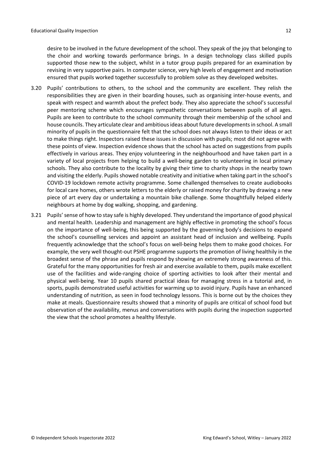desire to be involved in the future development of the school. They speak of the joy that belonging to the choir and working towards performance brings. In a design technology class skilled pupils supported those new to the subject, whilst in a tutor group pupils prepared for an examination by revising in very supportive pairs. In computer science, very high levels of engagement and motivation ensured that pupils worked together successfully to problem solve as they developed websites.

- 3.20 Pupils' contributions to others, to the school and the community are excellent. They relish the responsibilities they are given in their boarding houses, such as organising inter-house events, and speak with respect and warmth about the prefect body. They also appreciate the school's successful peer mentoring scheme which encourages sympathetic conversations between pupils of all ages. Pupils are keen to contribute to the school community through their membership of the school and house councils. They articulate clear and ambitious ideas about future developments in school. A small minority of pupils in the questionnaire felt that the school does not always listen to their ideas or act to make things right. Inspectors raised these issues in discussion with pupils; most did not agree with these points of view. Inspection evidence shows that the school has acted on suggestions from pupils effectively in various areas. They enjoy volunteering in the neighbourhood and have taken part in a variety of local projects from helping to build a well-being garden to volunteering in local primary schools. They also contribute to the locality by giving their time to charity shops in the nearby town and visiting the elderly. Pupils showed notable creativity and initiative when taking part in the school's COVID-19 lockdown remote activity programme. Some challenged themselves to create audiobooks for local care homes, others wrote letters to the elderly or raised money for charity by drawing a new piece of art every day or undertaking a mountain bike challenge. Some thoughtfully helped elderly neighbours at home by dog walking, shopping, and gardening.
- 3.21 Pupils' sense of how to stay safe is highly developed. They understand the importance of good physical and mental health. Leadership and management are highly effective in promoting the school's focus on the importance of well-being, this being supported by the governing body's decisions to expand the school's counselling services and appoint an assistant head of inclusion and wellbeing. Pupils frequently acknowledge that the school's focus on well-being helps them to make good choices. For example, the very well thought-out PSHE programme supports the promotion of living healthily in the broadest sense of the phrase and pupils respond by showing an extremely strong awareness of this. Grateful for the many opportunities for fresh air and exercise available to them, pupils make excellent use of the facilities and wide-ranging choice of sporting activities to look after their mental and physical well-being. Year 10 pupils shared practical ideas for managing stress in a tutorial and, in sports, pupils demonstrated useful activities for warming up to avoid injury. Pupils have an enhanced understanding of nutrition, as seen in food technology lessons. This is borne out by the choices they make at meals. Questionnaire results showed that a minority of pupils are critical of school food but observation of the availability, menus and conversations with pupils during the inspection supported the view that the school promotes a healthy lifestyle.